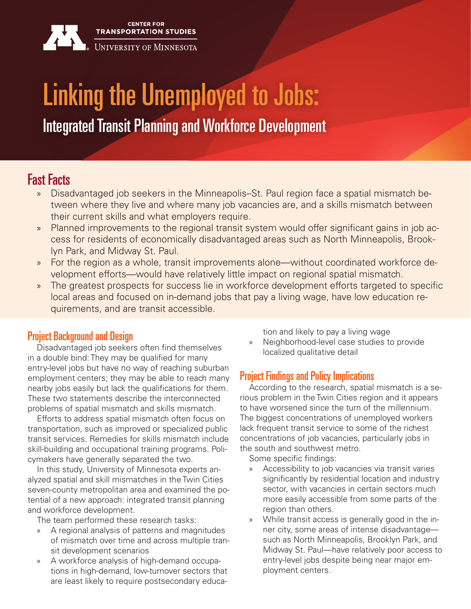

# Linking the Unemployed to Jobs:

Integrated Transit Planning and Workforce Development

# Fast Facts

- » Disadvantaged job seekers in the Minneapolis–St. Paul region face a spatial mismatch between where they live and where many job vacancies are, and a skills mismatch between their current skills and what employers require.
- » Planned improvements to the regional transit system would offer significant gains in job access for residents of economically disadvantaged areas such as North Minneapolis, Brooklyn Park, and Midway St. Paul.
- » For the region as a whole, transit improvements alone—without coordinated workforce development efforts—would have relatively little impact on regional spatial mismatch.
- The greatest prospects for success lie in workforce development efforts targeted to specific local areas and focused on in-demand jobs that pay a living wage, have low education requirements, and are transit accessible.

### Project Background and Design

Disadvantaged job seekers often find themselves in a double bind: They may be qualified for many entry-level jobs but have no way of reaching suburban employment centers; they may be able to reach many nearby jobs easily but lack the qualifications for them. These two statements describe the interconnected problems of spatial mismatch and skills mismatch.

Efforts to address spatial mismatch often focus on transportation, such as improved or specialized public transit services. Remedies for skills mismatch include skill-building and occupational training programs. Policymakers have generally separated the two.

In this study, University of Minnesota experts analyzed spatial and skill mismatches in the Twin Cities seven-county metropolitan area and examined the potential of a new approach: integrated transit planning and workforce development.

The team performed these research tasks:

- » A regional analysis of patterns and magnitudes of mismatch over time and across multiple transit development scenarios
- » A workforce analysis of high-demand occupations in high-demand, low-turnover sectors that are least likely to require postsecondary educa-

tion and likely to pay a living wage

» Neighborhood-level case studies to provide localized qualitative detail

### Project Findings and Policy Implications

According to the research, spatial mismatch is a serious problem in the Twin Cities region and it appears to have worsened since the turn of the millennium. The biggest concentrations of unemployed workers lack frequent transit service to some of the richest concentrations of job vacancies, particularly jobs in the south and southwest metro.

Some specific findings:

- » Accessibility to job vacancies via transit varies significantly by residential location and industry sector, with vacancies in certain sectors much more easily accessible from some parts of the region than others.
- » While transit access is generally good in the inner city, some areas of intense disadvantage such as North Minneapolis, Brooklyn Park, and Midway St. Paul—have relatively poor access to entry-level jobs despite being near major employment centers.